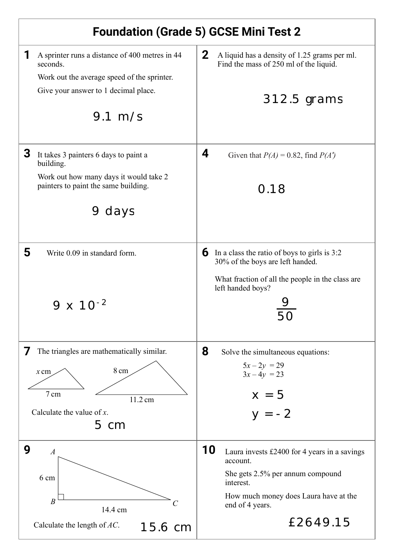